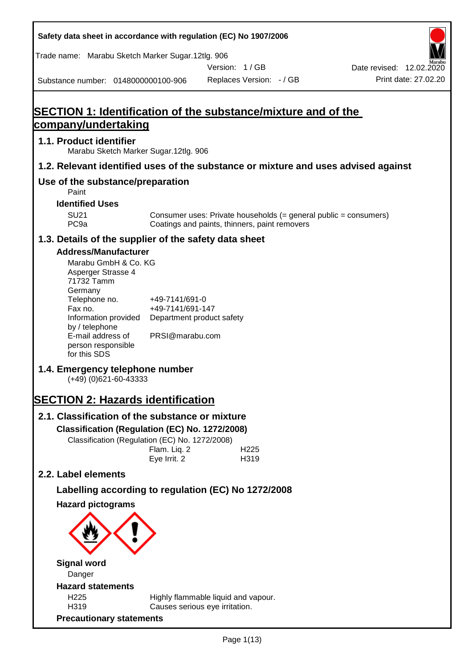| Safety data sheet in accordance with regulation (EC) No 1907/2006                                                       |                                                                 |                                                                                                                   |                                                  |
|-------------------------------------------------------------------------------------------------------------------------|-----------------------------------------------------------------|-------------------------------------------------------------------------------------------------------------------|--------------------------------------------------|
| Trade name: Marabu Sketch Marker Sugar.12tlg. 906                                                                       |                                                                 |                                                                                                                   |                                                  |
|                                                                                                                         |                                                                 | Version: 1/GB                                                                                                     | Date revised: 12.02.2020<br>Print date: 27,02.20 |
| Substance number: 0148000000100-906                                                                                     |                                                                 | Replaces Version: - / GB                                                                                          |                                                  |
|                                                                                                                         |                                                                 |                                                                                                                   |                                                  |
| <b>SECTION 1: Identification of the substance/mixture and of the</b><br>company/undertaking                             |                                                                 |                                                                                                                   |                                                  |
| 1.1. Product identifier                                                                                                 |                                                                 |                                                                                                                   |                                                  |
| Marabu Sketch Marker Sugar.12tlg. 906                                                                                   |                                                                 |                                                                                                                   |                                                  |
| 1.2. Relevant identified uses of the substance or mixture and uses advised against                                      |                                                                 |                                                                                                                   |                                                  |
| Use of the substance/preparation<br>Paint                                                                               |                                                                 |                                                                                                                   |                                                  |
| <b>Identified Uses</b>                                                                                                  |                                                                 |                                                                                                                   |                                                  |
| <b>SU21</b><br>PC <sub>9a</sub>                                                                                         |                                                                 | Consumer uses: Private households (= general public = consumers)<br>Coatings and paints, thinners, paint removers |                                                  |
| 1.3. Details of the supplier of the safety data sheet                                                                   |                                                                 |                                                                                                                   |                                                  |
| <b>Address/Manufacturer</b>                                                                                             |                                                                 |                                                                                                                   |                                                  |
| Marabu GmbH & Co. KG<br>Asperger Strasse 4<br>71732 Tamm<br>Germany<br>Telephone no.<br>Fax no.<br>Information provided | +49-7141/691-0<br>+49-7141/691-147<br>Department product safety |                                                                                                                   |                                                  |
| by / telephone<br>E-mail address of<br>person responsible<br>for this SDS                                               | PRSI@marabu.com                                                 |                                                                                                                   |                                                  |
| 1.4. Emergency telephone number<br>$(+49)$ (0)621-60-43333                                                              |                                                                 |                                                                                                                   |                                                  |
| <b>SECTION 2: Hazards identification</b>                                                                                |                                                                 |                                                                                                                   |                                                  |
| 2.1. Classification of the substance or mixture                                                                         |                                                                 |                                                                                                                   |                                                  |
| Classification (Regulation (EC) No. 1272/2008)                                                                          |                                                                 |                                                                                                                   |                                                  |
| Classification (Regulation (EC) No. 1272/2008)                                                                          | Flam. Liq. 2<br>Eye Irrit. 2                                    | H <sub>225</sub><br>H319                                                                                          |                                                  |
| 2.2. Label elements                                                                                                     |                                                                 |                                                                                                                   |                                                  |
| Labelling according to regulation (EC) No 1272/2008                                                                     |                                                                 |                                                                                                                   |                                                  |
| <b>Hazard pictograms</b>                                                                                                |                                                                 |                                                                                                                   |                                                  |
|                                                                                                                         |                                                                 |                                                                                                                   |                                                  |
| <b>Signal word</b>                                                                                                      |                                                                 |                                                                                                                   |                                                  |
| Danger                                                                                                                  |                                                                 |                                                                                                                   |                                                  |
| <b>Hazard statements</b><br>H <sub>225</sub>                                                                            |                                                                 | Highly flammable liquid and vapour.                                                                               |                                                  |
| H319<br><b>Precautionary statements</b>                                                                                 |                                                                 | Causes serious eye irritation.                                                                                    |                                                  |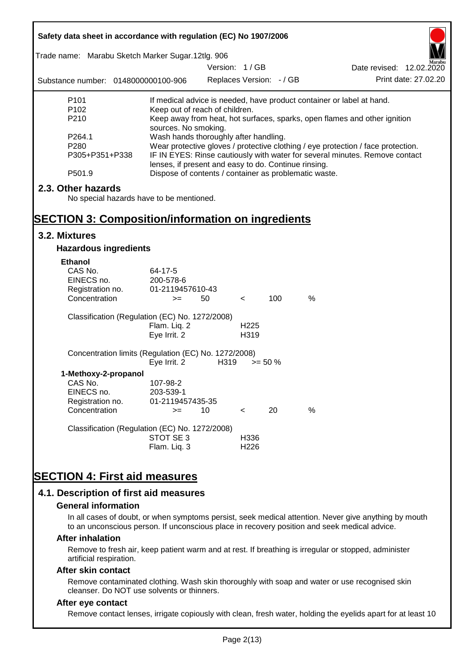| Safety data sheet in accordance with regulation (EC) No 1907/2006 |                                                                       |                          |                          |            |      |                                                                                  |
|-------------------------------------------------------------------|-----------------------------------------------------------------------|--------------------------|--------------------------|------------|------|----------------------------------------------------------------------------------|
| Trade name: Marabu Sketch Marker Sugar.12tlg. 906                 |                                                                       |                          |                          |            |      |                                                                                  |
|                                                                   |                                                                       | Version: 1/GB            |                          |            |      | Date revised: 12.02.2020                                                         |
| Substance number: 0148000000100-906                               |                                                                       | Replaces Version: - / GB |                          |            |      | Print date: 27.02.20                                                             |
| P <sub>101</sub>                                                  | If medical advice is needed, have product container or label at hand. |                          |                          |            |      |                                                                                  |
| P <sub>102</sub>                                                  | Keep out of reach of children.                                        |                          |                          |            |      |                                                                                  |
| P210                                                              | sources. No smoking.                                                  |                          |                          |            |      | Keep away from heat, hot surfaces, sparks, open flames and other ignition        |
| P264.1                                                            | Wash hands thoroughly after handling.                                 |                          |                          |            |      |                                                                                  |
| P <sub>280</sub>                                                  |                                                                       |                          |                          |            |      | Wear protective gloves / protective clothing / eye protection / face protection. |
| P305+P351+P338                                                    | lenses, if present and easy to do. Continue rinsing.                  |                          |                          |            |      | IF IN EYES: Rinse cautiously with water for several minutes. Remove contact      |
| P501.9                                                            | Dispose of contents / container as problematic waste.                 |                          |                          |            |      |                                                                                  |
| 2.3. Other hazards                                                |                                                                       |                          |                          |            |      |                                                                                  |
| No special hazards have to be mentioned.                          |                                                                       |                          |                          |            |      |                                                                                  |
|                                                                   |                                                                       |                          |                          |            |      |                                                                                  |
| <b>SECTION 3: Composition/information on ingredients</b>          |                                                                       |                          |                          |            |      |                                                                                  |
| 3.2. Mixtures                                                     |                                                                       |                          |                          |            |      |                                                                                  |
| <b>Hazardous ingredients</b>                                      |                                                                       |                          |                          |            |      |                                                                                  |
| <b>Ethanol</b>                                                    |                                                                       |                          |                          |            |      |                                                                                  |
| CAS No.                                                           | 64-17-5                                                               |                          |                          |            |      |                                                                                  |
| EINECS no.                                                        | 200-578-6<br>01-2119457610-43                                         |                          |                          |            |      |                                                                                  |
| Registration no.<br>Concentration                                 | $>=$                                                                  | 50                       | $\prec$                  | 100        | $\%$ |                                                                                  |
|                                                                   |                                                                       |                          |                          |            |      |                                                                                  |
| Classification (Regulation (EC) No. 1272/2008)                    |                                                                       |                          |                          |            |      |                                                                                  |
|                                                                   | Flam. Liq. 2<br>Eye Irrit. 2                                          |                          | H <sub>225</sub><br>H319 |            |      |                                                                                  |
|                                                                   |                                                                       |                          |                          |            |      |                                                                                  |
| Concentration limits (Regulation (EC) No. 1272/2008)              |                                                                       |                          |                          |            |      |                                                                                  |
|                                                                   | Eye Irrit. 2                                                          | H319                     |                          | $>= 50 \%$ |      |                                                                                  |
| 1-Methoxy-2-propanol                                              |                                                                       |                          |                          |            |      |                                                                                  |
| CAS No.<br>EINECS no.                                             | 107-98-2<br>203-539-1                                                 |                          |                          |            |      |                                                                                  |
| Registration no.                                                  | 01-2119457435-35                                                      |                          |                          |            |      |                                                                                  |
| Concentration                                                     | $>=$                                                                  | 10                       | $\,<\,$                  | 20         | %    |                                                                                  |
| Classification (Regulation (EC) No. 1272/2008)                    |                                                                       |                          |                          |            |      |                                                                                  |
|                                                                   | STOT SE3                                                              |                          | H336                     |            |      |                                                                                  |
|                                                                   | Flam. Liq. 3                                                          |                          | H <sub>226</sub>         |            |      |                                                                                  |
|                                                                   |                                                                       |                          |                          |            |      |                                                                                  |
| <b>SECTION 4: First aid measures</b>                              |                                                                       |                          |                          |            |      |                                                                                  |
|                                                                   |                                                                       |                          |                          |            |      |                                                                                  |
| 4.1. Description of first aid measures                            |                                                                       |                          |                          |            |      |                                                                                  |

#### **General information**

In all cases of doubt, or when symptoms persist, seek medical attention. Never give anything by mouth to an unconscious person. If unconscious place in recovery position and seek medical advice.

#### **After inhalation**

Remove to fresh air, keep patient warm and at rest. If breathing is irregular or stopped, administer artificial respiration.

#### **After skin contact**

Remove contaminated clothing. Wash skin thoroughly with soap and water or use recognised skin cleanser. Do NOT use solvents or thinners.

### **After eye contact**

Remove contact lenses, irrigate copiously with clean, fresh water, holding the eyelids apart for at least 10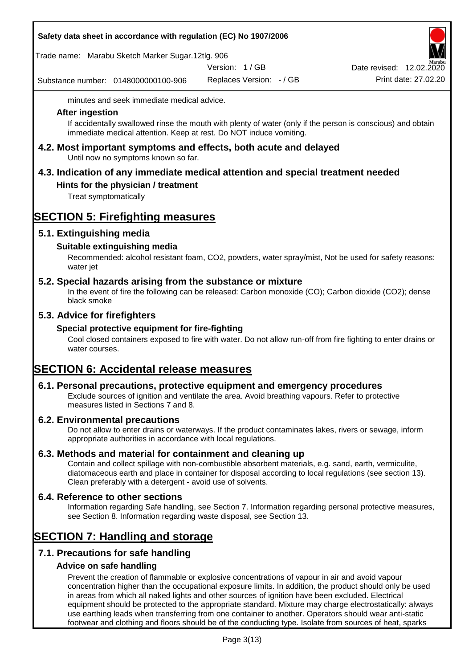|  |  |  | Safety data sheet in accordance with regulation (EC) No 1907/2006 |
|--|--|--|-------------------------------------------------------------------|
|--|--|--|-------------------------------------------------------------------|

Trade name: Marabu Sketch Marker Sugar.12tlg. 906

Version: 1 / GB

Substance number: 0148000000100-906

Replaces Version: - / GB Print date: 27.02.20 Date revised: 12.02.2020

minutes and seek immediate medical advice.

#### **After ingestion**

If accidentally swallowed rinse the mouth with plenty of water (only if the person is conscious) and obtain immediate medical attention. Keep at rest. Do NOT induce vomiting.

**4.2. Most important symptoms and effects, both acute and delayed** Until now no symptoms known so far.

# **4.3. Indication of any immediate medical attention and special treatment needed**

### **Hints for the physician / treatment**

Treat symptomatically

# **SECTION 5: Firefighting measures**

### **5.1. Extinguishing media**

### **Suitable extinguishing media**

Recommended: alcohol resistant foam, CO2, powders, water spray/mist, Not be used for safety reasons: water jet

### **5.2. Special hazards arising from the substance or mixture**

In the event of fire the following can be released: Carbon monoxide (CO); Carbon dioxide (CO2); dense black smoke

### **5.3. Advice for firefighters**

#### **Special protective equipment for fire-fighting**

Cool closed containers exposed to fire with water. Do not allow run-off from fire fighting to enter drains or water courses.

# **SECTION 6: Accidental release measures**

#### **6.1. Personal precautions, protective equipment and emergency procedures**

Exclude sources of ignition and ventilate the area. Avoid breathing vapours. Refer to protective measures listed in Sections 7 and 8.

#### **6.2. Environmental precautions**

Do not allow to enter drains or waterways. If the product contaminates lakes, rivers or sewage, inform appropriate authorities in accordance with local regulations.

#### **6.3. Methods and material for containment and cleaning up**

Contain and collect spillage with non-combustible absorbent materials, e.g. sand, earth, vermiculite, diatomaceous earth and place in container for disposal according to local regulations (see section 13). Clean preferably with a detergent - avoid use of solvents.

#### **6.4. Reference to other sections**

Information regarding Safe handling, see Section 7. Information regarding personal protective measures, see Section 8. Information regarding waste disposal, see Section 13.

# **SECTION 7: Handling and storage**

# **7.1. Precautions for safe handling**

#### **Advice on safe handling**

Prevent the creation of flammable or explosive concentrations of vapour in air and avoid vapour concentration higher than the occupational exposure limits. In addition, the product should only be used in areas from which all naked lights and other sources of ignition have been excluded. Electrical equipment should be protected to the appropriate standard. Mixture may charge electrostatically: always use earthing leads when transferring from one container to another. Operators should wear anti-static footwear and clothing and floors should be of the conducting type. Isolate from sources of heat, sparks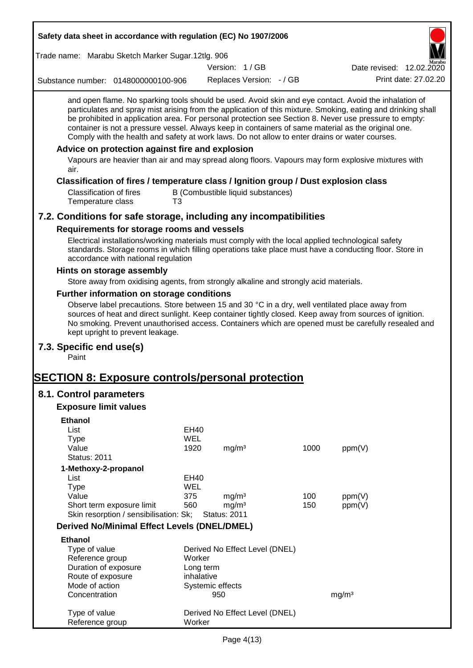| Safety data sheet in accordance with regulation (EC) No 1907/2006                                                                                                                                                                                                                                                                                                                                                                                                                                                                                                                           |             |                                        |                                   |      |                          |                      |
|---------------------------------------------------------------------------------------------------------------------------------------------------------------------------------------------------------------------------------------------------------------------------------------------------------------------------------------------------------------------------------------------------------------------------------------------------------------------------------------------------------------------------------------------------------------------------------------------|-------------|----------------------------------------|-----------------------------------|------|--------------------------|----------------------|
| Trade name: Marabu Sketch Marker Sugar.12tlg. 906                                                                                                                                                                                                                                                                                                                                                                                                                                                                                                                                           |             |                                        |                                   |      |                          |                      |
|                                                                                                                                                                                                                                                                                                                                                                                                                                                                                                                                                                                             |             | Version: 1/GB                          |                                   |      | Date revised: 12.02.2020 |                      |
| Substance number: 0148000000100-906                                                                                                                                                                                                                                                                                                                                                                                                                                                                                                                                                         |             |                                        | Replaces Version: - / GB          |      |                          | Print date: 27.02.20 |
| and open flame. No sparking tools should be used. Avoid skin and eye contact. Avoid the inhalation of<br>particulates and spray mist arising from the application of this mixture. Smoking, eating and drinking shall<br>be prohibited in application area. For personal protection see Section 8. Never use pressure to empty:<br>container is not a pressure vessel. Always keep in containers of same material as the original one.<br>Comply with the health and safety at work laws. Do not allow to enter drains or water courses.<br>Advice on protection against fire and explosion |             |                                        |                                   |      |                          |                      |
| Vapours are heavier than air and may spread along floors. Vapours may form explosive mixtures with<br>air.                                                                                                                                                                                                                                                                                                                                                                                                                                                                                  |             |                                        |                                   |      |                          |                      |
| Classification of fires / temperature class / Ignition group / Dust explosion class                                                                                                                                                                                                                                                                                                                                                                                                                                                                                                         |             |                                        |                                   |      |                          |                      |
| <b>Classification of fires</b><br>Temperature class<br>T3                                                                                                                                                                                                                                                                                                                                                                                                                                                                                                                                   |             |                                        | B (Combustible liquid substances) |      |                          |                      |
| 7.2. Conditions for safe storage, including any incompatibilities                                                                                                                                                                                                                                                                                                                                                                                                                                                                                                                           |             |                                        |                                   |      |                          |                      |
| Requirements for storage rooms and vessels                                                                                                                                                                                                                                                                                                                                                                                                                                                                                                                                                  |             |                                        |                                   |      |                          |                      |
| Electrical installations/working materials must comply with the local applied technological safety<br>standards. Storage rooms in which filling operations take place must have a conducting floor. Store in<br>accordance with national regulation                                                                                                                                                                                                                                                                                                                                         |             |                                        |                                   |      |                          |                      |
| Hints on storage assembly                                                                                                                                                                                                                                                                                                                                                                                                                                                                                                                                                                   |             |                                        |                                   |      |                          |                      |
| Store away from oxidising agents, from strongly alkaline and strongly acid materials.                                                                                                                                                                                                                                                                                                                                                                                                                                                                                                       |             |                                        |                                   |      |                          |                      |
| Further information on storage conditions                                                                                                                                                                                                                                                                                                                                                                                                                                                                                                                                                   |             |                                        |                                   |      |                          |                      |
| Observe label precautions. Store between 15 and 30 °C in a dry, well ventilated place away from<br>sources of heat and direct sunlight. Keep container tightly closed. Keep away from sources of ignition.<br>No smoking. Prevent unauthorised access. Containers which are opened must be carefully resealed and<br>kept upright to prevent leakage.                                                                                                                                                                                                                                       |             |                                        |                                   |      |                          |                      |
| 7.3. Specific end use(s)<br>Paint                                                                                                                                                                                                                                                                                                                                                                                                                                                                                                                                                           |             |                                        |                                   |      |                          |                      |
| <b>SECTION 8: Exposure controls/personal protection</b>                                                                                                                                                                                                                                                                                                                                                                                                                                                                                                                                     |             |                                        |                                   |      |                          |                      |
| 8.1. Control parameters                                                                                                                                                                                                                                                                                                                                                                                                                                                                                                                                                                     |             |                                        |                                   |      |                          |                      |
| <b>Exposure limit values</b>                                                                                                                                                                                                                                                                                                                                                                                                                                                                                                                                                                |             |                                        |                                   |      |                          |                      |
|                                                                                                                                                                                                                                                                                                                                                                                                                                                                                                                                                                                             |             |                                        |                                   |      |                          |                      |
| <b>Ethanol</b><br>List                                                                                                                                                                                                                                                                                                                                                                                                                                                                                                                                                                      | <b>EH40</b> |                                        |                                   |      |                          |                      |
| <b>Type</b>                                                                                                                                                                                                                                                                                                                                                                                                                                                                                                                                                                                 | <b>WEL</b>  |                                        |                                   |      |                          |                      |
| Value                                                                                                                                                                                                                                                                                                                                                                                                                                                                                                                                                                                       | 1920        | mg/m <sup>3</sup>                      |                                   | 1000 | ppm(V)                   |                      |
| <b>Status: 2011</b>                                                                                                                                                                                                                                                                                                                                                                                                                                                                                                                                                                         |             |                                        |                                   |      |                          |                      |
| 1-Methoxy-2-propanol                                                                                                                                                                                                                                                                                                                                                                                                                                                                                                                                                                        |             |                                        |                                   |      |                          |                      |
| List                                                                                                                                                                                                                                                                                                                                                                                                                                                                                                                                                                                        | EH40        |                                        |                                   |      |                          |                      |
| <b>Type</b><br>Value                                                                                                                                                                                                                                                                                                                                                                                                                                                                                                                                                                        | WEL         |                                        |                                   | 100  |                          |                      |
| Short term exposure limit                                                                                                                                                                                                                                                                                                                                                                                                                                                                                                                                                                   | 375<br>560  | mg/m <sup>3</sup><br>mg/m <sup>3</sup> |                                   | 150  | ppm(V)<br>ppm(V)         |                      |
| Skin resorption / sensibilisation: Sk;                                                                                                                                                                                                                                                                                                                                                                                                                                                                                                                                                      |             | <b>Status: 2011</b>                    |                                   |      |                          |                      |
| <b>Derived No/Minimal Effect Levels (DNEL/DMEL)</b>                                                                                                                                                                                                                                                                                                                                                                                                                                                                                                                                         |             |                                        |                                   |      |                          |                      |
| <b>Ethanol</b>                                                                                                                                                                                                                                                                                                                                                                                                                                                                                                                                                                              |             |                                        |                                   |      |                          |                      |
| Type of value                                                                                                                                                                                                                                                                                                                                                                                                                                                                                                                                                                               |             |                                        | Derived No Effect Level (DNEL)    |      |                          |                      |
| Reference group                                                                                                                                                                                                                                                                                                                                                                                                                                                                                                                                                                             | Worker      |                                        |                                   |      |                          |                      |
| Duration of exposure                                                                                                                                                                                                                                                                                                                                                                                                                                                                                                                                                                        | Long term   |                                        |                                   |      |                          |                      |
| Route of exposure                                                                                                                                                                                                                                                                                                                                                                                                                                                                                                                                                                           | inhalative  |                                        |                                   |      |                          |                      |
| Mode of action<br>Concentration                                                                                                                                                                                                                                                                                                                                                                                                                                                                                                                                                             |             | Systemic effects<br>950                |                                   |      | mg/m <sup>3</sup>        |                      |
| Type of value<br>Reference group                                                                                                                                                                                                                                                                                                                                                                                                                                                                                                                                                            | Worker      |                                        | Derived No Effect Level (DNEL)    |      |                          |                      |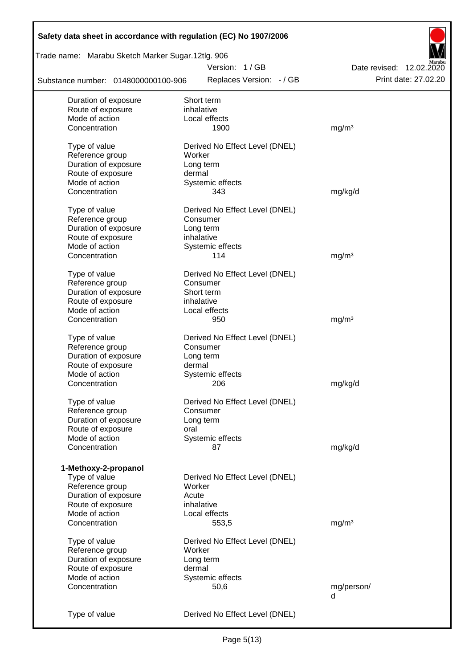| Safety data sheet in accordance with regulation (EC) No 1907/2006 |                                |                          |
|-------------------------------------------------------------------|--------------------------------|--------------------------|
| Trade name: Marabu Sketch Marker Sugar.12tlg. 906                 |                                |                          |
|                                                                   | Version: 1/GB                  | Date revised: 12.02.2020 |
| Substance number: 0148000000100-906                               | Replaces Version: - / GB       | Print date: 27.02.20     |
| Duration of exposure                                              | Short term                     |                          |
| Route of exposure                                                 | inhalative                     |                          |
| Mode of action                                                    | Local effects                  |                          |
| Concentration                                                     | 1900                           | mg/m <sup>3</sup>        |
| Type of value                                                     | Derived No Effect Level (DNEL) |                          |
| Reference group                                                   | Worker                         |                          |
| Duration of exposure                                              | Long term                      |                          |
| Route of exposure                                                 | dermal                         |                          |
| Mode of action                                                    | Systemic effects               |                          |
| Concentration                                                     | 343                            | mg/kg/d                  |
|                                                                   |                                |                          |
| Type of value                                                     | Derived No Effect Level (DNEL) |                          |
| Reference group                                                   | Consumer                       |                          |
| Duration of exposure                                              | Long term                      |                          |
| Route of exposure                                                 | inhalative                     |                          |
| Mode of action                                                    | Systemic effects               |                          |
| Concentration                                                     | 114                            | mg/m <sup>3</sup>        |
| Type of value                                                     | Derived No Effect Level (DNEL) |                          |
| Reference group                                                   | Consumer                       |                          |
| Duration of exposure                                              | Short term                     |                          |
| Route of exposure                                                 | inhalative                     |                          |
| Mode of action                                                    | Local effects                  |                          |
| Concentration                                                     | 950                            | mg/m <sup>3</sup>        |
|                                                                   |                                |                          |
| Type of value                                                     | Derived No Effect Level (DNEL) |                          |
| Reference group                                                   | Consumer                       |                          |
| Duration of exposure                                              | Long term                      |                          |
| Route of exposure                                                 | dermal                         |                          |
| Mode of action                                                    | Systemic effects               |                          |
| Concentration                                                     | 206                            | mg/kg/d                  |
| Type of value                                                     | Derived No Effect Level (DNEL) |                          |
| Reference group                                                   | Consumer                       |                          |
| Duration of exposure                                              | Long term                      |                          |
| Route of exposure                                                 | oral                           |                          |
| Mode of action                                                    | Systemic effects               |                          |
| Concentration                                                     | 87                             | mg/kg/d                  |
|                                                                   |                                |                          |
| 1-Methoxy-2-propanol                                              |                                |                          |
| Type of value                                                     | Derived No Effect Level (DNEL) |                          |
| Reference group                                                   | Worker                         |                          |
| Duration of exposure                                              | Acute                          |                          |
| Route of exposure                                                 | inhalative                     |                          |
| Mode of action                                                    | Local effects                  |                          |
| Concentration                                                     | 553,5                          | mg/m <sup>3</sup>        |
|                                                                   |                                |                          |
| Type of value                                                     | Derived No Effect Level (DNEL) |                          |
| Reference group                                                   | Worker                         |                          |
| Duration of exposure                                              | Long term                      |                          |
| Route of exposure                                                 | dermal                         |                          |
| Mode of action                                                    | Systemic effects               |                          |
| Concentration                                                     | 50,6                           | mg/person/<br>d          |
|                                                                   |                                |                          |
| Type of value                                                     | Derived No Effect Level (DNEL) |                          |
|                                                                   |                                |                          |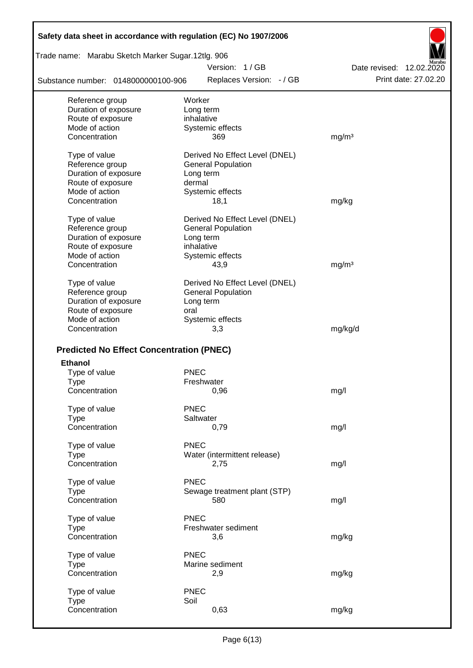| Safety data sheet in accordance with regulation (EC) No 1907/2006 |                                           |                                                  |
|-------------------------------------------------------------------|-------------------------------------------|--------------------------------------------------|
| Trade name: Marabu Sketch Marker Sugar.12tlg. 906                 |                                           |                                                  |
| Substance number: 0148000000100-906                               | Version: 1/GB<br>Replaces Version: - / GB | Date revised: 12.02.2020<br>Print date: 27,02.20 |
|                                                                   |                                           |                                                  |
| Reference group<br>Duration of exposure                           | Worker                                    |                                                  |
| Route of exposure                                                 | Long term<br>inhalative                   |                                                  |
| Mode of action                                                    | Systemic effects                          |                                                  |
| Concentration                                                     | 369                                       | mg/m <sup>3</sup>                                |
| Type of value                                                     | Derived No Effect Level (DNEL)            |                                                  |
| Reference group                                                   | <b>General Population</b>                 |                                                  |
| Duration of exposure                                              | Long term                                 |                                                  |
| Route of exposure                                                 | dermal                                    |                                                  |
| Mode of action                                                    | Systemic effects                          |                                                  |
| Concentration                                                     | 18,1                                      | mg/kg                                            |
| Type of value                                                     | Derived No Effect Level (DNEL)            |                                                  |
| Reference group                                                   | <b>General Population</b>                 |                                                  |
| Duration of exposure                                              | Long term                                 |                                                  |
| Route of exposure                                                 | inhalative                                |                                                  |
| Mode of action<br>Concentration                                   | Systemic effects                          |                                                  |
|                                                                   | 43,9                                      | mg/m <sup>3</sup>                                |
| Type of value                                                     | Derived No Effect Level (DNEL)            |                                                  |
| Reference group                                                   | <b>General Population</b>                 |                                                  |
| Duration of exposure                                              | Long term                                 |                                                  |
| Route of exposure                                                 | oral                                      |                                                  |
| Mode of action                                                    | Systemic effects                          |                                                  |
| Concentration                                                     | 3,3                                       | mg/kg/d                                          |
| <b>Predicted No Effect Concentration (PNEC)</b>                   |                                           |                                                  |
| <b>Ethanol</b>                                                    |                                           |                                                  |
| Type of value                                                     | <b>PNEC</b>                               |                                                  |
| Type                                                              | Freshwater                                |                                                  |
| Concentration                                                     | 0,96                                      | mg/l                                             |
| Type of value                                                     | <b>PNEC</b>                               |                                                  |
| <b>Type</b>                                                       | Saltwater                                 |                                                  |
| Concentration                                                     | 0,79                                      | mg/l                                             |
| Type of value                                                     | <b>PNEC</b>                               |                                                  |
| <b>Type</b>                                                       | Water (intermittent release)              |                                                  |
| Concentration                                                     | 2,75                                      | mg/l                                             |
| Type of value                                                     | <b>PNEC</b>                               |                                                  |
| <b>Type</b>                                                       | Sewage treatment plant (STP)              |                                                  |
| Concentration                                                     | 580                                       | mg/l                                             |
| Type of value                                                     | <b>PNEC</b>                               |                                                  |
| <b>Type</b>                                                       | Freshwater sediment                       |                                                  |
| Concentration                                                     | 3,6                                       | mg/kg                                            |
| Type of value                                                     | <b>PNEC</b>                               |                                                  |
| <b>Type</b>                                                       | Marine sediment                           |                                                  |
| Concentration                                                     | 2,9                                       | mg/kg                                            |
|                                                                   |                                           |                                                  |
| Type of value<br><b>Type</b>                                      | <b>PNEC</b><br>Soil                       |                                                  |
| Concentration                                                     | 0,63                                      | mg/kg                                            |
|                                                                   |                                           |                                                  |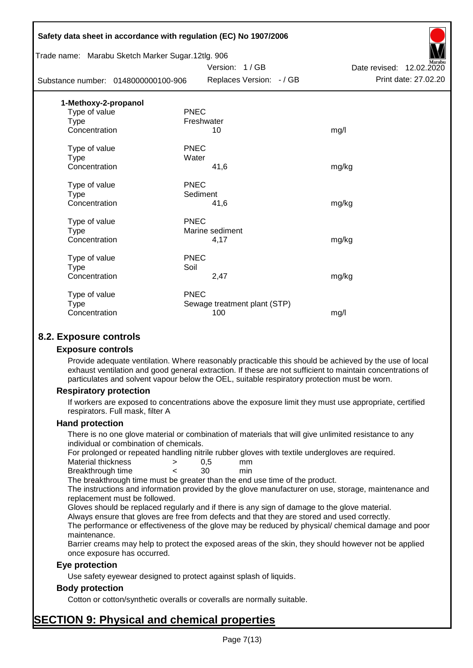|                                                   | Safety data sheet in accordance with regulation (EC) No 1907/2006 |                          |
|---------------------------------------------------|-------------------------------------------------------------------|--------------------------|
| Trade name: Marabu Sketch Marker Sugar.12tlg. 906 |                                                                   |                          |
|                                                   | Version: 1/GB                                                     | Date revised: 12.02.2020 |
| Substance number: 0148000000100-906               | Replaces Version: - / GB                                          | Print date: 27.02.20     |
| 1-Methoxy-2-propanol                              |                                                                   |                          |
| Type of value                                     | <b>PNEC</b>                                                       |                          |
| Type                                              | Freshwater                                                        |                          |
| Concentration                                     | 10                                                                | mg/l                     |
| Type of value                                     | <b>PNEC</b>                                                       |                          |
| <b>Type</b>                                       | Water                                                             |                          |
| Concentration                                     | 41,6                                                              | mg/kg                    |
| Type of value                                     | <b>PNEC</b>                                                       |                          |
| <b>Type</b>                                       | Sediment                                                          |                          |
| Concentration                                     | 41,6                                                              | mg/kg                    |
| Type of value                                     | <b>PNEC</b>                                                       |                          |
| <b>Type</b>                                       | Marine sediment                                                   |                          |
| Concentration                                     | 4,17                                                              | mg/kg                    |
| Type of value                                     | <b>PNEC</b>                                                       |                          |
| Type                                              | Soil                                                              |                          |
| Concentration                                     | 2,47                                                              | mg/kg                    |
| Type of value                                     | <b>PNEC</b>                                                       |                          |
| <b>Type</b>                                       | Sewage treatment plant (STP)                                      |                          |
| Concentration                                     | 100                                                               | mg/l                     |
|                                                   |                                                                   |                          |

# **8.2. Exposure controls**

#### **Exposure controls**

Provide adequate ventilation. Where reasonably practicable this should be achieved by the use of local exhaust ventilation and good general extraction. If these are not sufficient to maintain concentrations of particulates and solvent vapour below the OEL, suitable respiratory protection must be worn.

#### **Respiratory protection**

If workers are exposed to concentrations above the exposure limit they must use appropriate, certified respirators. Full mask, filter A

#### **Hand protection**

There is no one glove material or combination of materials that will give unlimited resistance to any individual or combination of chemicals.

For prolonged or repeated handling nitrile rubber gloves with textile undergloves are required.

| Material thickness | 0.5 | mm  |
|--------------------|-----|-----|
| Breakthrough time  | 30  | min |

The breakthrough time must be greater than the end use time of the product.

The instructions and information provided by the glove manufacturer on use, storage, maintenance and replacement must be followed.

Gloves should be replaced regularly and if there is any sign of damage to the glove material.

Always ensure that gloves are free from defects and that they are stored and used correctly.

The performance or effectiveness of the glove may be reduced by physical/ chemical damage and poor maintenance.

Barrier creams may help to protect the exposed areas of the skin, they should however not be applied once exposure has occurred.

#### **Eye protection**

Use safety eyewear designed to protect against splash of liquids.

#### **Body protection**

Cotton or cotton/synthetic overalls or coveralls are normally suitable.

# **SECTION 9: Physical and chemical properties**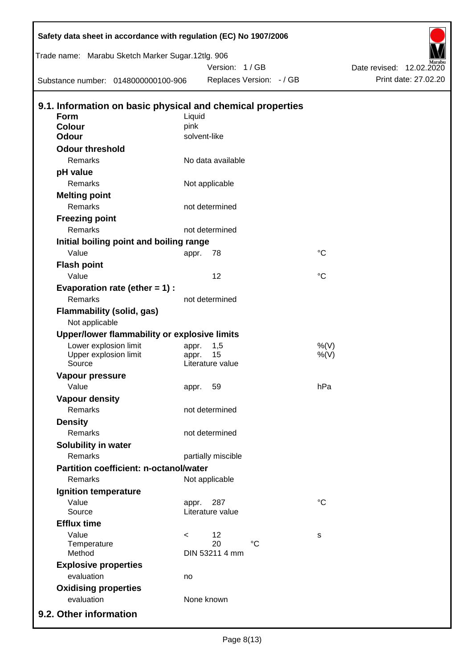| Safety data sheet in accordance with regulation (EC) No 1907/2006 |                |                      |                          |                    |                          |
|-------------------------------------------------------------------|----------------|----------------------|--------------------------|--------------------|--------------------------|
| Trade name: Marabu Sketch Marker Sugar.12tlg. 906                 |                |                      |                          |                    |                          |
|                                                                   |                | Version: 1/GB        |                          |                    | Date revised: 12.02.2020 |
| Substance number: 0148000000100-906                               |                |                      | Replaces Version: - / GB |                    | Print date: 27.02.20     |
| 9.1. Information on basic physical and chemical properties        |                |                      |                          |                    |                          |
| <b>Form</b>                                                       | Liquid         |                      |                          |                    |                          |
| <b>Colour</b>                                                     | pink           |                      |                          |                    |                          |
| <b>Odour</b>                                                      |                | solvent-like         |                          |                    |                          |
| <b>Odour threshold</b>                                            |                |                      |                          |                    |                          |
| Remarks                                                           |                | No data available    |                          |                    |                          |
| pH value                                                          |                |                      |                          |                    |                          |
| Remarks                                                           |                | Not applicable       |                          |                    |                          |
| <b>Melting point</b>                                              |                |                      |                          |                    |                          |
| Remarks                                                           |                | not determined       |                          |                    |                          |
| <b>Freezing point</b>                                             |                |                      |                          |                    |                          |
| Remarks                                                           |                | not determined       |                          |                    |                          |
| Initial boiling point and boiling range                           |                |                      |                          |                    |                          |
| Value                                                             | appr.          | 78                   |                          | $^{\circ}C$        |                          |
| <b>Flash point</b>                                                |                |                      |                          |                    |                          |
| Value                                                             |                | 12                   |                          | $^{\circ}C$        |                          |
| Evaporation rate (ether $= 1$ ) :                                 |                |                      |                          |                    |                          |
| Remarks                                                           |                | not determined       |                          |                    |                          |
| Flammability (solid, gas)                                         |                |                      |                          |                    |                          |
| Not applicable                                                    |                |                      |                          |                    |                          |
| Upper/lower flammability or explosive limits                      |                |                      |                          |                    |                          |
| Lower explosion limit<br>Upper explosion limit                    | appr.<br>appr. | 1,5<br>15            |                          | $%$ (V)<br>$%$ (V) |                          |
| Source                                                            |                | Literature value     |                          |                    |                          |
| Vapour pressure                                                   |                |                      |                          |                    |                          |
| Value                                                             | appr.          | 59                   |                          | hPa                |                          |
| <b>Vapour density</b>                                             |                |                      |                          |                    |                          |
| <b>Remarks</b>                                                    |                | not determined       |                          |                    |                          |
| <b>Density</b>                                                    |                |                      |                          |                    |                          |
| Remarks                                                           |                | not determined       |                          |                    |                          |
| Solubility in water                                               |                |                      |                          |                    |                          |
| Remarks                                                           |                | partially miscible   |                          |                    |                          |
| <b>Partition coefficient: n-octanol/water</b>                     |                |                      |                          |                    |                          |
| Remarks                                                           |                | Not applicable       |                          |                    |                          |
| <b>Ignition temperature</b>                                       |                |                      |                          |                    |                          |
| Value                                                             | appr.          | 287                  |                          | $^{\circ}C$        |                          |
| Source                                                            |                | Literature value     |                          |                    |                          |
| <b>Efflux time</b>                                                |                |                      |                          |                    |                          |
| Value                                                             | $\,<\,$        | 12                   |                          | s                  |                          |
| Temperature<br>Method                                             |                | 20<br>DIN 53211 4 mm | $^{\circ}C$              |                    |                          |
|                                                                   |                |                      |                          |                    |                          |
| <b>Explosive properties</b><br>evaluation                         |                |                      |                          |                    |                          |
|                                                                   | no             |                      |                          |                    |                          |
| <b>Oxidising properties</b><br>evaluation                         |                | None known           |                          |                    |                          |
|                                                                   |                |                      |                          |                    |                          |
| 9.2. Other information                                            |                |                      |                          |                    |                          |

 $\overline{z}$ 

 $\mathsf I$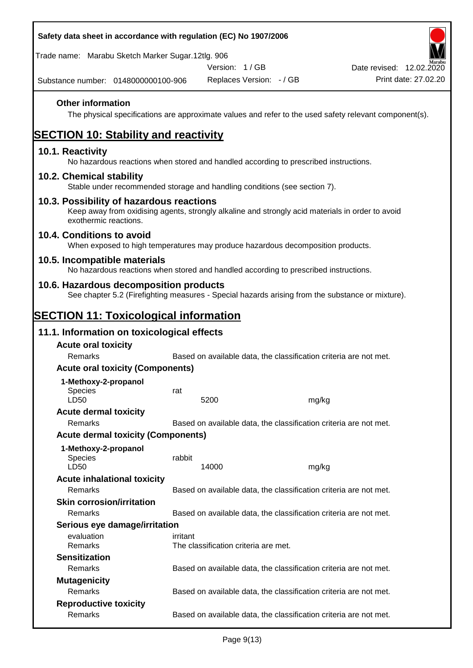| Safety data sheet in accordance with regulation (EC) No 1907/2006                                                                                                     |          |                                      |                          |                                                                                                        |
|-----------------------------------------------------------------------------------------------------------------------------------------------------------------------|----------|--------------------------------------|--------------------------|--------------------------------------------------------------------------------------------------------|
| Trade name: Marabu Sketch Marker Sugar.12tlg. 906                                                                                                                     |          |                                      |                          |                                                                                                        |
| Substance number: 0148000000100-906                                                                                                                                   |          | Version: 1 / GB                      | Replaces Version: - / GB | Date revised: 12.02.2020<br>Print date: 27.02.20                                                       |
| <b>Other information</b>                                                                                                                                              |          |                                      |                          | The physical specifications are approximate values and refer to the used safety relevant component(s). |
| <b>SECTION 10: Stability and reactivity</b>                                                                                                                           |          |                                      |                          |                                                                                                        |
| 10.1. Reactivity<br>No hazardous reactions when stored and handled according to prescribed instructions.                                                              |          |                                      |                          |                                                                                                        |
| 10.2. Chemical stability<br>Stable under recommended storage and handling conditions (see section 7).                                                                 |          |                                      |                          |                                                                                                        |
| 10.3. Possibility of hazardous reactions<br>Keep away from oxidising agents, strongly alkaline and strongly acid materials in order to avoid<br>exothermic reactions. |          |                                      |                          |                                                                                                        |
| 10.4. Conditions to avoid<br>When exposed to high temperatures may produce hazardous decomposition products.                                                          |          |                                      |                          |                                                                                                        |
| 10.5. Incompatible materials<br>No hazardous reactions when stored and handled according to prescribed instructions.                                                  |          |                                      |                          |                                                                                                        |
| 10.6. Hazardous decomposition products<br>See chapter 5.2 (Firefighting measures - Special hazards arising from the substance or mixture).                            |          |                                      |                          |                                                                                                        |
| <u>SECTION 11: Toxicological information</u>                                                                                                                          |          |                                      |                          |                                                                                                        |
| 11.1. Information on toxicological effects                                                                                                                            |          |                                      |                          |                                                                                                        |
| <b>Acute oral toxicity</b>                                                                                                                                            |          |                                      |                          |                                                                                                        |
| Remarks                                                                                                                                                               |          |                                      |                          | Based on available data, the classification criteria are not met.                                      |
| <b>Acute oral toxicity (Components)</b>                                                                                                                               |          |                                      |                          |                                                                                                        |
| 1-Methoxy-2-propanol                                                                                                                                                  |          |                                      |                          |                                                                                                        |
| <b>Species</b>                                                                                                                                                        | rat      |                                      |                          |                                                                                                        |
| LD50<br><b>Acute dermal toxicity</b>                                                                                                                                  |          | 5200                                 | mg/kg                    |                                                                                                        |
| Remarks                                                                                                                                                               |          |                                      |                          | Based on available data, the classification criteria are not met.                                      |
| <b>Acute dermal toxicity (Components)</b>                                                                                                                             |          |                                      |                          |                                                                                                        |
| 1-Methoxy-2-propanol<br><b>Species</b><br>LD50                                                                                                                        | rabbit   | 14000                                | mg/kg                    |                                                                                                        |
| <b>Acute inhalational toxicity</b>                                                                                                                                    |          |                                      |                          |                                                                                                        |
| Remarks                                                                                                                                                               |          |                                      |                          | Based on available data, the classification criteria are not met.                                      |
| <b>Skin corrosion/irritation</b>                                                                                                                                      |          |                                      |                          |                                                                                                        |
| Remarks                                                                                                                                                               |          |                                      |                          | Based on available data, the classification criteria are not met.                                      |
| Serious eye damage/irritation                                                                                                                                         |          |                                      |                          |                                                                                                        |
| evaluation<br>Remarks                                                                                                                                                 | irritant | The classification criteria are met. |                          |                                                                                                        |
| <b>Sensitization</b>                                                                                                                                                  |          |                                      |                          |                                                                                                        |
| Remarks                                                                                                                                                               |          |                                      |                          | Based on available data, the classification criteria are not met.                                      |
| <b>Mutagenicity</b>                                                                                                                                                   |          |                                      |                          |                                                                                                        |
| Remarks                                                                                                                                                               |          |                                      |                          | Based on available data, the classification criteria are not met.                                      |
| <b>Reproductive toxicity</b>                                                                                                                                          |          |                                      |                          |                                                                                                        |
| Remarks                                                                                                                                                               |          |                                      |                          | Based on available data, the classification criteria are not met.                                      |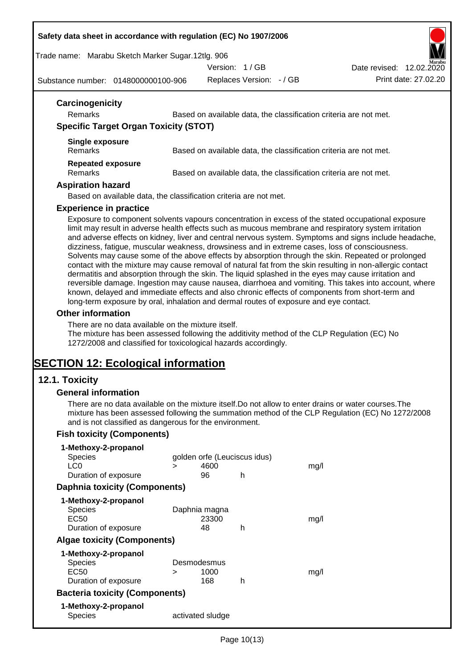#### **Safety data sheet in accordance with regulation (EC) No 1907/2006**

Trade name: Marabu Sketch Marker Sugar.12tlg. 906

Version: 1 / GB

Date revised: 12.02.2020

Substance number: 0148000000100-906

Replaces Version: - / GB Print date: 27.02.20

| <b>Remarks</b>                               | Based on available data, the classification criteria are not met. |
|----------------------------------------------|-------------------------------------------------------------------|
| <b>Specific Target Organ Toxicity (STOT)</b> |                                                                   |
| Single exposure<br><b>Remarks</b>            | Based on available data, the classification criteria are not met. |
| <b>Repeated exposure</b><br><b>Remarks</b>   | Based on available data, the classification criteria are not met. |
| <b>Aspiration hazard</b>                     |                                                                   |

#### **Experience in practice**

Exposure to component solvents vapours concentration in excess of the stated occupational exposure limit may result in adverse health effects such as mucous membrane and respiratory system irritation and adverse effects on kidney, liver and central nervous system. Symptoms and signs include headache, dizziness, fatigue, muscular weakness, drowsiness and in extreme cases, loss of consciousness. Solvents may cause some of the above effects by absorption through the skin. Repeated or prolonged contact with the mixture may cause removal of natural fat from the skin resulting in non-allergic contact dermatitis and absorption through the skin. The liquid splashed in the eyes may cause irritation and reversible damage. Ingestion may cause nausea, diarrhoea and vomiting. This takes into account, where known, delayed and immediate effects and also chronic effects of components from short-term and long-term exposure by oral, inhalation and dermal routes of exposure and eye contact.

#### **Other information**

There are no data available on the mixture itself.

The mixture has been assessed following the additivity method of the CLP Regulation (EC) No 1272/2008 and classified for toxicological hazards accordingly.

# **SECTION 12: Ecological information**

#### **12.1. Toxicity**

#### **General information**

There are no data available on the mixture itself.Do not allow to enter drains or water courses.The mixture has been assessed following the summation method of the CLP Regulation (EC) No 1272/2008 and is not classified as dangerous for the environment.

#### **Fish toxicity (Components)**

| 1-Methoxy-2-propanol                  |   |                              |   |      |
|---------------------------------------|---|------------------------------|---|------|
| <b>Species</b>                        |   | golden orfe (Leuciscus idus) |   |      |
| LC0                                   | ⋗ | 4600                         |   | mq/l |
| Duration of exposure                  |   | 96                           | h |      |
| <b>Daphnia toxicity (Components)</b>  |   |                              |   |      |
| 1-Methoxy-2-propanol                  |   |                              |   |      |
| Species                               |   | Daphnia magna                |   |      |
| EC50                                  |   | 23300                        |   | mq/l |
| Duration of exposure                  |   | 48                           | h |      |
| <b>Algae toxicity (Components)</b>    |   |                              |   |      |
| 1-Methoxy-2-propanol                  |   |                              |   |      |
| Species                               |   | Desmodesmus                  |   |      |
| EC50                                  | ⋗ | 1000                         |   | mq/l |
| Duration of exposure                  |   | 168                          | h |      |
| <b>Bacteria toxicity (Components)</b> |   |                              |   |      |
| 1-Methoxy-2-propanol                  |   |                              |   |      |
| Species                               |   | activated sludge             |   |      |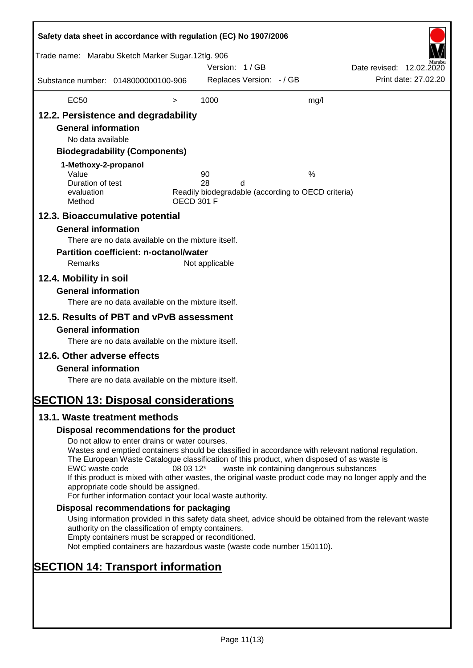| Safety data sheet in accordance with regulation (EC) No 1907/2006                                                                                                   |                                                                                                                                                                                                                                                                                                                                                                                                                                                                      |                   |                |                          |                                                         |                          |                      |
|---------------------------------------------------------------------------------------------------------------------------------------------------------------------|----------------------------------------------------------------------------------------------------------------------------------------------------------------------------------------------------------------------------------------------------------------------------------------------------------------------------------------------------------------------------------------------------------------------------------------------------------------------|-------------------|----------------|--------------------------|---------------------------------------------------------|--------------------------|----------------------|
| Trade name: Marabu Sketch Marker Sugar.12tlg. 906                                                                                                                   |                                                                                                                                                                                                                                                                                                                                                                                                                                                                      |                   | Version: 1/GB  |                          |                                                         | Date revised: 12.02.2020 |                      |
| Substance number: 0148000000100-906                                                                                                                                 |                                                                                                                                                                                                                                                                                                                                                                                                                                                                      |                   |                | Replaces Version: - / GB |                                                         |                          | Print date: 27.02.20 |
| <b>EC50</b>                                                                                                                                                         |                                                                                                                                                                                                                                                                                                                                                                                                                                                                      | $\, > \,$         | 1000           |                          | mg/l                                                    |                          |                      |
| 12.2. Persistence and degradability<br><b>General information</b><br>No data available<br>1-Methoxy-2-propanol<br>Value<br>Duration of test<br>evaluation<br>Method | <b>Biodegradability (Components)</b>                                                                                                                                                                                                                                                                                                                                                                                                                                 | <b>OECD 301 F</b> | 90<br>28       | d                        | %<br>Readily biodegradable (according to OECD criteria) |                          |                      |
| 12.3. Bioaccumulative potential<br><b>General information</b><br>Remarks<br>12.4. Mobility in soil<br><b>General information</b>                                    | There are no data available on the mixture itself.<br><b>Partition coefficient: n-octanol/water</b>                                                                                                                                                                                                                                                                                                                                                                  |                   | Not applicable |                          |                                                         |                          |                      |
| 12.5. Results of PBT and vPvB assessment<br><b>General information</b>                                                                                              | There are no data available on the mixture itself.<br>There are no data available on the mixture itself.                                                                                                                                                                                                                                                                                                                                                             |                   |                |                          |                                                         |                          |                      |
| 12.6. Other adverse effects<br><b>General information</b><br><b>SECTION 13: Disposal considerations</b>                                                             | There are no data available on the mixture itself.                                                                                                                                                                                                                                                                                                                                                                                                                   |                   |                |                          |                                                         |                          |                      |
| 13.1. Waste treatment methods                                                                                                                                       |                                                                                                                                                                                                                                                                                                                                                                                                                                                                      |                   |                |                          |                                                         |                          |                      |
|                                                                                                                                                                     | Disposal recommendations for the product                                                                                                                                                                                                                                                                                                                                                                                                                             |                   |                |                          |                                                         |                          |                      |
| EWC waste code                                                                                                                                                      | Do not allow to enter drains or water courses.<br>Wastes and emptied containers should be classified in accordance with relevant national regulation.<br>The European Waste Catalogue classification of this product, when disposed of as waste is<br>If this product is mixed with other wastes, the original waste product code may no longer apply and the<br>appropriate code should be assigned.<br>For further information contact your local waste authority. | 08 03 12*         |                |                          | waste ink containing dangerous substances               |                          |                      |
|                                                                                                                                                                     | Disposal recommendations for packaging                                                                                                                                                                                                                                                                                                                                                                                                                               |                   |                |                          |                                                         |                          |                      |
|                                                                                                                                                                     | Using information provided in this safety data sheet, advice should be obtained from the relevant waste<br>authority on the classification of empty containers.<br>Empty containers must be scrapped or reconditioned.<br>Not emptied containers are hazardous waste (waste code number 150110).                                                                                                                                                                     |                   |                |                          |                                                         |                          |                      |
| <b>SECTION 14: Transport information</b>                                                                                                                            |                                                                                                                                                                                                                                                                                                                                                                                                                                                                      |                   |                |                          |                                                         |                          |                      |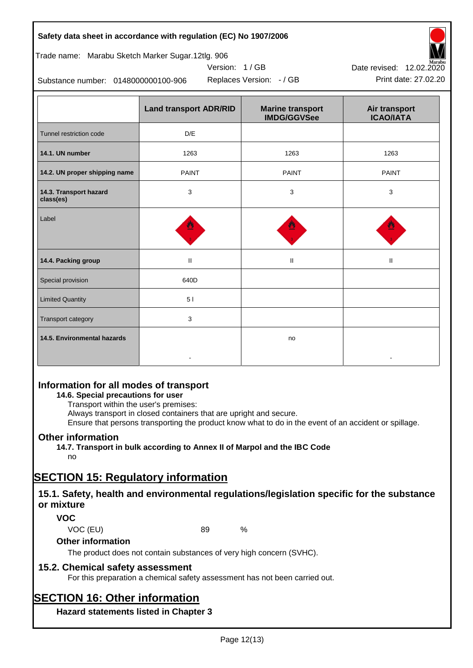# **Safety data sheet in accordance with regulation (EC) No 1907/2006**

Trade name: Marabu Sketch Marker Sugar.12tlg. 906

Substance number: 0148000000100-906

|                                     | <b>Land transport ADR/RID</b> | <b>Marine transport</b><br><b>IMDG/GGVSee</b> | Air transport<br><b>ICAO/IATA</b> |
|-------------------------------------|-------------------------------|-----------------------------------------------|-----------------------------------|
| Tunnel restriction code             | D/E                           |                                               |                                   |
| 14.1. UN number                     | 1263                          | 1263                                          | 1263                              |
| 14.2. UN proper shipping name       | <b>PAINT</b>                  | <b>PAINT</b>                                  | <b>PAINT</b>                      |
| 14.3. Transport hazard<br>class(es) | $\mathsf 3$                   | 3                                             | 3                                 |
| Label                               |                               |                                               |                                   |
| 14.4. Packing group                 | $\mathop{\rm II}\nolimits$    | Ш                                             | Ш                                 |
| Special provision                   | 640D                          |                                               |                                   |
| <b>Limited Quantity</b>             | 51                            |                                               |                                   |
| Transport category                  | 3                             |                                               |                                   |
| 14.5. Environmental hazards         |                               | no                                            |                                   |

Version: 1 / GB

# **Information for all modes of transport**

# **14.6. Special precautions for user**

Transport within the user's premises:

Always transport in closed containers that are upright and secure.

Ensure that persons transporting the product know what to do in the event of an accident or spillage.

# **Other information**

**14.7. Transport in bulk according to Annex II of Marpol and the IBC Code**

# no

# **SECTION 15: Regulatory information**

# **15.1. Safety, health and environmental regulations/legislation specific for the substance or mixture**

# **VOC**

VOC (EU) 89 %

#### **Other information**

The product does not contain substances of very high concern (SVHC).

# **15.2. Chemical safety assessment**

For this preparation a chemical safety assessment has not been carried out.

# **SECTION 16: Other information**

**Hazard statements listed in Chapter 3**



Replaces Version: - / GB Print date: 27.02.20 Date revised: 12.02.2020